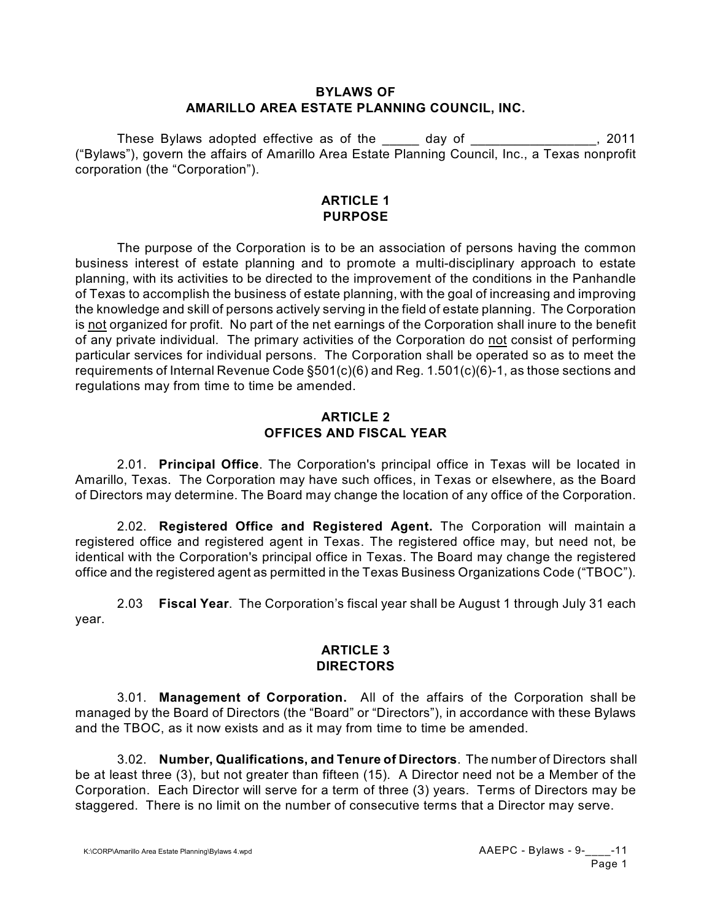### **BYLAWS OF AMARILLO AREA ESTATE PLANNING COUNCIL, INC.**

These Bylaws adopted effective as of the day of These Bylaws adopted effective as of the day of ("Bylaws"), govern the affairs of Amarillo Area Estate Planning Council, Inc., a Texas nonprofit corporation (the "Corporation").

#### **ARTICLE 1 PURPOSE**

The purpose of the Corporation is to be an association of persons having the common business interest of estate planning and to promote a multi-disciplinary approach to estate planning, with its activities to be directed to the improvement of the conditions in the Panhandle of Texas to accomplish the business of estate planning, with the goal of increasing and improving the knowledge and skill of persons actively serving in the field of estate planning. The Corporation is not organized for profit. No part of the net earnings of the Corporation shall inure to the benefit of any private individual. The primary activities of the Corporation do not consist of performing particular services for individual persons. The Corporation shall be operated so as to meet the requirements of Internal Revenue Code §501(c)(6) and Reg. 1.501(c)(6)-1, as those sections and regulations may from time to time be amended.

## **ARTICLE 2 OFFICES AND FISCAL YEAR**

2.01. **Principal Office**. The Corporation's principal office in Texas will be located in Amarillo, Texas. The Corporation may have such offices, in Texas or elsewhere, as the Board of Directors may determine. The Board may change the location of any office of the Corporation.

2.02. **Registered Office and Registered Agent.** The Corporation will maintain a registered office and registered agent in Texas. The registered office may, but need not, be identical with the Corporation's principal office in Texas. The Board may change the registered office and the registered agent as permitted in the Texas Business Organizations Code ("TBOC").

2.03 **Fiscal Year**. The Corporation's fiscal year shall be August 1 through July 31 each year.

## **ARTICLE 3 DIRECTORS**

3.01. **Management of Corporation.** All of the affairs of the Corporation shall be managed by the Board of Directors (the "Board" or "Directors"), in accordance with these Bylaws and the TBOC, as it now exists and as it may from time to time be amended.

3.02. **Number, Qualifications, and Tenure of Directors**. The number of Directors shall be at least three (3), but not greater than fifteen (15). A Director need not be a Member of the Corporation. Each Director will serve for a term of three (3) years. Terms of Directors may be staggered. There is no limit on the number of consecutive terms that a Director may serve.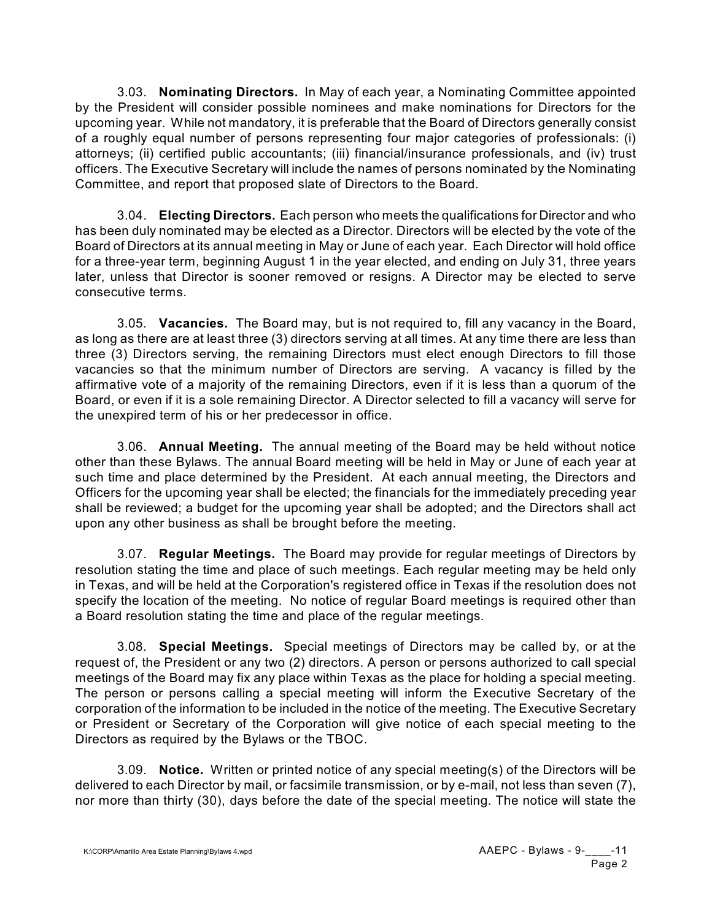3.03. **Nominating Directors.** In May of each year, a Nominating Committee appointed by the President will consider possible nominees and make nominations for Directors for the upcoming year. While not mandatory, it is preferable that the Board of Directors generally consist of a roughly equal number of persons representing four major categories of professionals: (i) attorneys; (ii) certified public accountants; (iii) financial/insurance professionals, and (iv) trust officers. The Executive Secretary will include the names of persons nominated by the Nominating Committee, and report that proposed slate of Directors to the Board.

3.04. **Electing Directors.** Each person who meets the qualifications for Director and who has been duly nominated may be elected as a Director. Directors will be elected by the vote of the Board of Directors at its annual meeting in May or June of each year. Each Director will hold office for a three-year term, beginning August 1 in the year elected, and ending on July 31, three years later, unless that Director is sooner removed or resigns. A Director may be elected to serve consecutive terms.

3.05. **Vacancies.** The Board may, but is not required to, fill any vacancy in the Board, as long as there are at least three (3) directors serving at all times. At any time there are less than three (3) Directors serving, the remaining Directors must elect enough Directors to fill those vacancies so that the minimum number of Directors are serving. A vacancy is filled by the affirmative vote of a majority of the remaining Directors, even if it is less than a quorum of the Board, or even if it is a sole remaining Director. A Director selected to fill a vacancy will serve for the unexpired term of his or her predecessor in office.

3.06. **Annual Meeting.** The annual meeting of the Board may be held without notice other than these Bylaws. The annual Board meeting will be held in May or June of each year at such time and place determined by the President. At each annual meeting, the Directors and Officers for the upcoming year shall be elected; the financials for the immediately preceding year shall be reviewed; a budget for the upcoming year shall be adopted; and the Directors shall act upon any other business as shall be brought before the meeting.

3.07. **Regular Meetings.** The Board may provide for regular meetings of Directors by resolution stating the time and place of such meetings. Each regular meeting may be held only in Texas, and will be held at the Corporation's registered office in Texas if the resolution does not specify the location of the meeting. No notice of regular Board meetings is required other than a Board resolution stating the time and place of the regular meetings.

3.08. **Special Meetings.** Special meetings of Directors may be called by, or at the request of, the President or any two (2) directors. A person or persons authorized to call special meetings of the Board may fix any place within Texas as the place for holding a special meeting. The person or persons calling a special meeting will inform the Executive Secretary of the corporation of the information to be included in the notice of the meeting. The Executive Secretary or President or Secretary of the Corporation will give notice of each special meeting to the Directors as required by the Bylaws or the TBOC.

3.09. **Notice.** Written or printed notice of any special meeting(s) of the Directors will be delivered to each Director by mail, or facsimile transmission, or by e-mail, not less than seven (7), nor more than thirty (30), days before the date of the special meeting. The notice will state the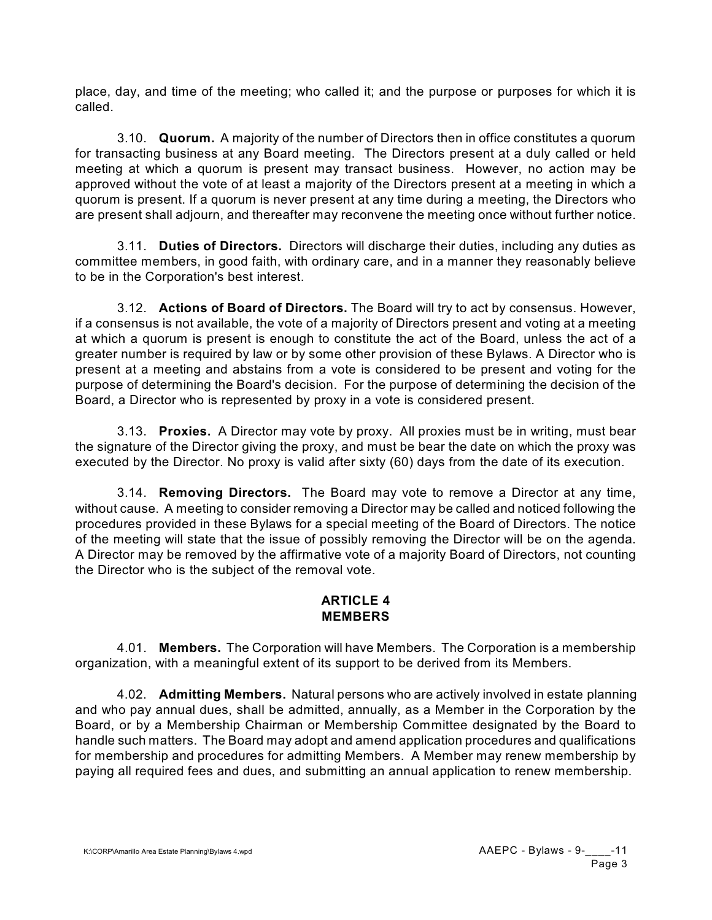place, day, and time of the meeting; who called it; and the purpose or purposes for which it is called.

3.10. **Quorum.** A majority of the number of Directors then in office constitutes a quorum for transacting business at any Board meeting. The Directors present at a duly called or held meeting at which a quorum is present may transact business. However, no action may be approved without the vote of at least a majority of the Directors present at a meeting in which a quorum is present. If a quorum is never present at any time during a meeting, the Directors who are present shall adjourn, and thereafter may reconvene the meeting once without further notice.

3.11. **Duties of Directors.** Directors will discharge their duties, including any duties as committee members, in good faith, with ordinary care, and in a manner they reasonably believe to be in the Corporation's best interest.

3.12. **Actions of Board of Directors.** The Board will try to act by consensus. However, if a consensus is not available, the vote of a majority of Directors present and voting at a meeting at which a quorum is present is enough to constitute the act of the Board, unless the act of a greater number is required by law or by some other provision of these Bylaws. A Director who is present at a meeting and abstains from a vote is considered to be present and voting for the purpose of determining the Board's decision. For the purpose of determining the decision of the Board, a Director who is represented by proxy in a vote is considered present.

3.13. **Proxies.** A Director may vote by proxy. All proxies must be in writing, must bear the signature of the Director giving the proxy, and must be bear the date on which the proxy was executed by the Director. No proxy is valid after sixty (60) days from the date of its execution.

3.14. **Removing Directors.** The Board may vote to remove a Director at any time, without cause. A meeting to consider removing a Director may be called and noticed following the procedures provided in these Bylaws for a special meeting of the Board of Directors. The notice of the meeting will state that the issue of possibly removing the Director will be on the agenda. A Director may be removed by the affirmative vote of a majority Board of Directors, not counting the Director who is the subject of the removal vote.

# **ARTICLE 4 MEMBERS**

4.01. **Members.** The Corporation will have Members. The Corporation is a membership organization, with a meaningful extent of its support to be derived from its Members.

4.02. **Admitting Members.** Natural persons who are actively involved in estate planning and who pay annual dues, shall be admitted, annually, as a Member in the Corporation by the Board, or by a Membership Chairman or Membership Committee designated by the Board to handle such matters. The Board may adopt and amend application procedures and qualifications for membership and procedures for admitting Members. A Member may renew membership by paying all required fees and dues, and submitting an annual application to renew membership.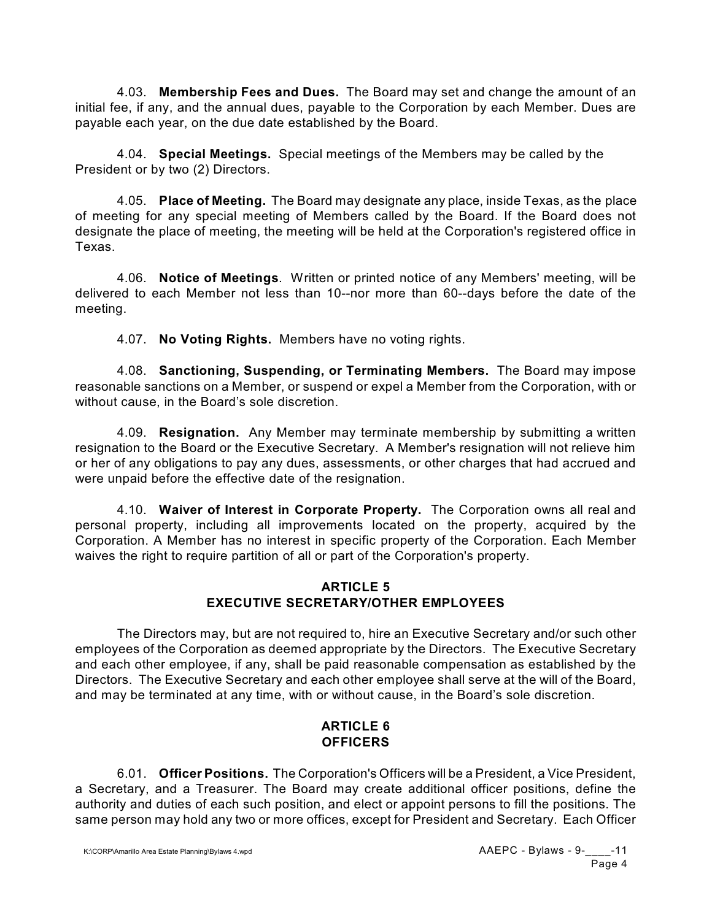4.03. **Membership Fees and Dues.** The Board may set and change the amount of an initial fee, if any, and the annual dues, payable to the Corporation by each Member. Dues are payable each year, on the due date established by the Board.

4.04. **Special Meetings.** Special meetings of the Members may be called by the President or by two (2) Directors.

4.05. **Place of Meeting.** The Board may designate any place, inside Texas, as the place of meeting for any special meeting of Members called by the Board. If the Board does not designate the place of meeting, the meeting will be held at the Corporation's registered office in Texas.

4.06. **Notice of Meetings**. Written or printed notice of any Members' meeting, will be delivered to each Member not less than 10--nor more than 60--days before the date of the meeting.

4.07. **No Voting Rights.** Members have no voting rights.

4.08. **Sanctioning, Suspending, or Terminating Members.** The Board may impose reasonable sanctions on a Member, or suspend or expel a Member from the Corporation, with or without cause, in the Board's sole discretion.

4.09. **Resignation.** Any Member may terminate membership by submitting a written resignation to the Board or the Executive Secretary. A Member's resignation will not relieve him or her of any obligations to pay any dues, assessments, or other charges that had accrued and were unpaid before the effective date of the resignation.

4.10. **Waiver of Interest in Corporate Property.** The Corporation owns all real and personal property, including all improvements located on the property, acquired by the Corporation. A Member has no interest in specific property of the Corporation. Each Member waives the right to require partition of all or part of the Corporation's property.

## **ARTICLE 5 EXECUTIVE SECRETARY/OTHER EMPLOYEES**

The Directors may, but are not required to, hire an Executive Secretary and/or such other employees of the Corporation as deemed appropriate by the Directors. The Executive Secretary and each other employee, if any, shall be paid reasonable compensation as established by the Directors. The Executive Secretary and each other employee shall serve at the will of the Board, and may be terminated at any time, with or without cause, in the Board's sole discretion.

## **ARTICLE 6 OFFICERS**

6.01. **Officer Positions.** The Corporation's Officers will be a President, a Vice President, a Secretary, and a Treasurer. The Board may create additional officer positions, define the authority and duties of each such position, and elect or appoint persons to fill the positions. The same person may hold any two or more offices, except for President and Secretary. Each Officer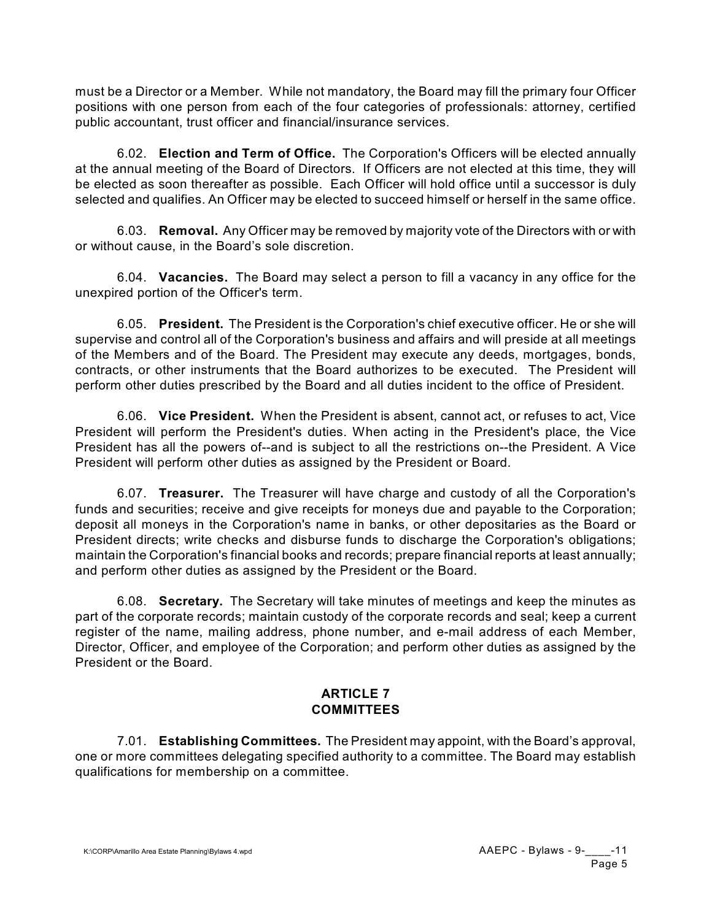must be a Director or a Member. While not mandatory, the Board may fill the primary four Officer positions with one person from each of the four categories of professionals: attorney, certified public accountant, trust officer and financial/insurance services.

6.02. **Election and Term of Office.** The Corporation's Officers will be elected annually at the annual meeting of the Board of Directors. If Officers are not elected at this time, they will be elected as soon thereafter as possible. Each Officer will hold office until a successor is duly selected and qualifies. An Officer may be elected to succeed himself or herself in the same office.

6.03. **Removal.** Any Officer may be removed by majority vote of the Directors with or with or without cause, in the Board's sole discretion.

6.04. **Vacancies.** The Board may select a person to fill a vacancy in any office for the unexpired portion of the Officer's term.

6.05. **President.** The President is the Corporation's chief executive officer. He or she will supervise and control all of the Corporation's business and affairs and will preside at all meetings of the Members and of the Board. The President may execute any deeds, mortgages, bonds, contracts, or other instruments that the Board authorizes to be executed. The President will perform other duties prescribed by the Board and all duties incident to the office of President.

6.06. **Vice President.** When the President is absent, cannot act, or refuses to act, Vice President will perform the President's duties. When acting in the President's place, the Vice President has all the powers of--and is subject to all the restrictions on--the President. A Vice President will perform other duties as assigned by the President or Board.

6.07. **Treasurer.** The Treasurer will have charge and custody of all the Corporation's funds and securities; receive and give receipts for moneys due and payable to the Corporation; deposit all moneys in the Corporation's name in banks, or other depositaries as the Board or President directs; write checks and disburse funds to discharge the Corporation's obligations; maintain the Corporation's financial books and records; prepare financial reports at least annually; and perform other duties as assigned by the President or the Board.

6.08. **Secretary.** The Secretary will take minutes of meetings and keep the minutes as part of the corporate records; maintain custody of the corporate records and seal; keep a current register of the name, mailing address, phone number, and e-mail address of each Member, Director, Officer, and employee of the Corporation; and perform other duties as assigned by the President or the Board.

# **ARTICLE 7 COMMITTEES**

7.01. **Establishing Committees.** The President may appoint, with the Board's approval, one or more committees delegating specified authority to a committee. The Board may establish qualifications for membership on a committee.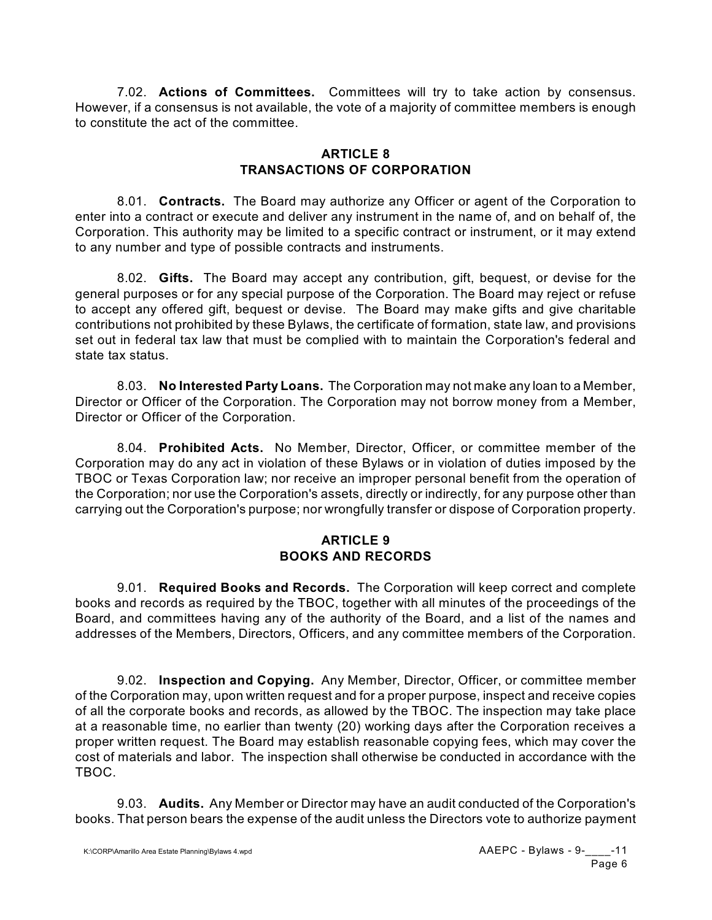7.02. **Actions of Committees.** Committees will try to take action by consensus. However, if a consensus is not available, the vote of a majority of committee members is enough to constitute the act of the committee.

## **ARTICLE 8 TRANSACTIONS OF CORPORATION**

8.01. **Contracts.** The Board may authorize any Officer or agent of the Corporation to enter into a contract or execute and deliver any instrument in the name of, and on behalf of, the Corporation. This authority may be limited to a specific contract or instrument, or it may extend to any number and type of possible contracts and instruments.

8.02. **Gifts.** The Board may accept any contribution, gift, bequest, or devise for the general purposes or for any special purpose of the Corporation. The Board may reject or refuse to accept any offered gift, bequest or devise. The Board may make gifts and give charitable contributions not prohibited by these Bylaws, the certificate of formation, state law, and provisions set out in federal tax law that must be complied with to maintain the Corporation's federal and state tax status.

8.03. **No Interested Party Loans.** The Corporation may not make any loan to a Member, Director or Officer of the Corporation. The Corporation may not borrow money from a Member, Director or Officer of the Corporation.

8.04. **Prohibited Acts.** No Member, Director, Officer, or committee member of the Corporation may do any act in violation of these Bylaws or in violation of duties imposed by the TBOC or Texas Corporation law; nor receive an improper personal benefit from the operation of the Corporation; nor use the Corporation's assets, directly or indirectly, for any purpose other than carrying out the Corporation's purpose; nor wrongfully transfer or dispose of Corporation property.

# **ARTICLE 9 BOOKS AND RECORDS**

9.01. **Required Books and Records.** The Corporation will keep correct and complete books and records as required by the TBOC, together with all minutes of the proceedings of the Board, and committees having any of the authority of the Board, and a list of the names and addresses of the Members, Directors, Officers, and any committee members of the Corporation.

9.02. **Inspection and Copying.** Any Member, Director, Officer, or committee member of the Corporation may, upon written request and for a proper purpose, inspect and receive copies of all the corporate books and records, as allowed by the TBOC. The inspection may take place at a reasonable time, no earlier than twenty (20) working days after the Corporation receives a proper written request. The Board may establish reasonable copying fees, which may cover the cost of materials and labor. The inspection shall otherwise be conducted in accordance with the TBOC.

9.03. **Audits.** Any Member or Director may have an audit conducted of the Corporation's books. That person bears the expense of the audit unless the Directors vote to authorize payment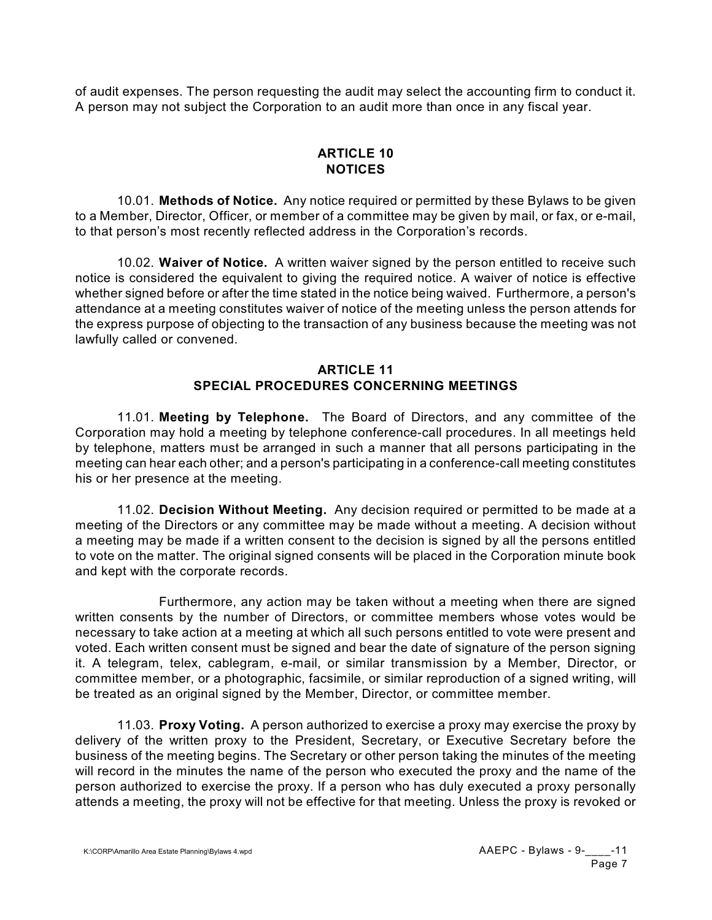of audit expenses. The person requesting the audit may select the accounting firm to conduct it. A person may not subject the Corporation to an audit more than once in any fiscal year.

# **ARTICLE 10 NOTICES**

10.01. **Methods of Notice.** Any notice required or permitted by these Bylaws to be given to a Member, Director, Officer, or member of a committee may be given by mail, or fax, or e-mail, to that person's most recently reflected address in the Corporation's records.

10.02. **Waiver of Notice.** A written waiver signed by the person entitled to receive such notice is considered the equivalent to giving the required notice. A waiver of notice is effective whether signed before or after the time stated in the notice being waived. Furthermore, a person's attendance at a meeting constitutes waiver of notice of the meeting unless the person attends for the express purpose of objecting to the transaction of any business because the meeting was not lawfully called or convened.

# **ARTICLE 11 SPECIAL PROCEDURES CONCERNING MEETINGS**

11.01. **Meeting by Telephone.** The Board of Directors, and any committee of the Corporation may hold a meeting by telephone conference-call procedures. In all meetings held by telephone, matters must be arranged in such a manner that all persons participating in the meeting can hear each other; and a person's participating in a conference-call meeting constitutes his or her presence at the meeting.

11.02. **Decision Without Meeting.** Any decision required or permitted to be made at a meeting of the Directors or any committee may be made without a meeting. A decision without a meeting may be made if a written consent to the decision is signed by all the persons entitled to vote on the matter. The original signed consents will be placed in the Corporation minute book and kept with the corporate records.

Furthermore, any action may be taken without a meeting when there are signed written consents by the number of Directors, or committee members whose votes would be necessary to take action at a meeting at which all such persons entitled to vote were present and voted. Each written consent must be signed and bear the date of signature of the person signing it. A telegram, telex, cablegram, e-mail, or similar transmission by a Member, Director, or committee member, or a photographic, facsimile, or similar reproduction of a signed writing, will be treated as an original signed by the Member, Director, or committee member.

11.03. **Proxy Voting.** A person authorized to exercise a proxy may exercise the proxy by delivery of the written proxy to the President, Secretary, or Executive Secretary before the business of the meeting begins. The Secretary or other person taking the minutes of the meeting will record in the minutes the name of the person who executed the proxy and the name of the person authorized to exercise the proxy. If a person who has duly executed a proxy personally attends a meeting, the proxy will not be effective for that meeting. Unless the proxy is revoked or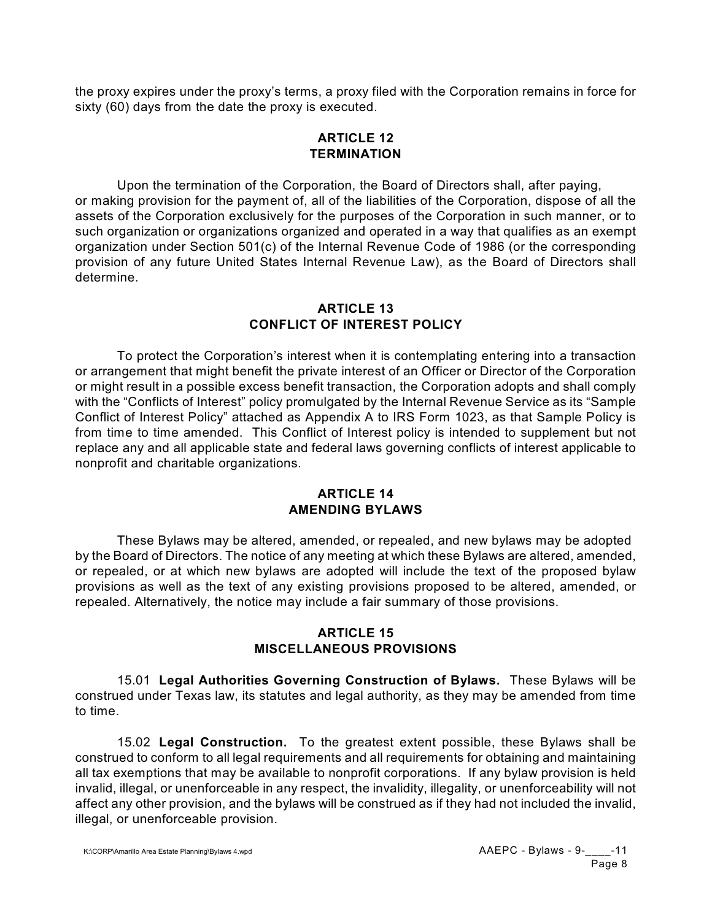the proxy expires under the proxy's terms, a proxy filed with the Corporation remains in force for sixty (60) days from the date the proxy is executed.

### **ARTICLE 12 TERMINATION**

Upon the termination of the Corporation, the Board of Directors shall, after paying, or making provision for the payment of, all of the liabilities of the Corporation, dispose of all the assets of the Corporation exclusively for the purposes of the Corporation in such manner, or to such organization or organizations organized and operated in a way that qualifies as an exempt organization under Section 501(c) of the Internal Revenue Code of 1986 (or the corresponding provision of any future United States Internal Revenue Law), as the Board of Directors shall determine.

### **ARTICLE 13 CONFLICT OF INTEREST POLICY**

To protect the Corporation's interest when it is contemplating entering into a transaction or arrangement that might benefit the private interest of an Officer or Director of the Corporation or might result in a possible excess benefit transaction, the Corporation adopts and shall comply with the "Conflicts of Interest" policy promulgated by the Internal Revenue Service as its "Sample Conflict of Interest Policy" attached as Appendix A to IRS Form 1023, as that Sample Policy is from time to time amended. This Conflict of Interest policy is intended to supplement but not replace any and all applicable state and federal laws governing conflicts of interest applicable to nonprofit and charitable organizations.

### **ARTICLE 14 AMENDING BYLAWS**

These Bylaws may be altered, amended, or repealed, and new bylaws may be adopted by the Board of Directors. The notice of any meeting at which these Bylaws are altered, amended, or repealed, or at which new bylaws are adopted will include the text of the proposed bylaw provisions as well as the text of any existing provisions proposed to be altered, amended, or repealed. Alternatively, the notice may include a fair summary of those provisions.

## **ARTICLE 15 MISCELLANEOUS PROVISIONS**

15.01 **Legal Authorities Governing Construction of Bylaws.** These Bylaws will be construed under Texas law, its statutes and legal authority, as they may be amended from time to time.

15.02 **Legal Construction.** To the greatest extent possible, these Bylaws shall be construed to conform to all legal requirements and all requirements for obtaining and maintaining all tax exemptions that may be available to nonprofit corporations. If any bylaw provision is held invalid, illegal, or unenforceable in any respect, the invalidity, illegality, or unenforceability will not affect any other provision, and the bylaws will be construed as if they had not included the invalid, illegal, or unenforceable provision.